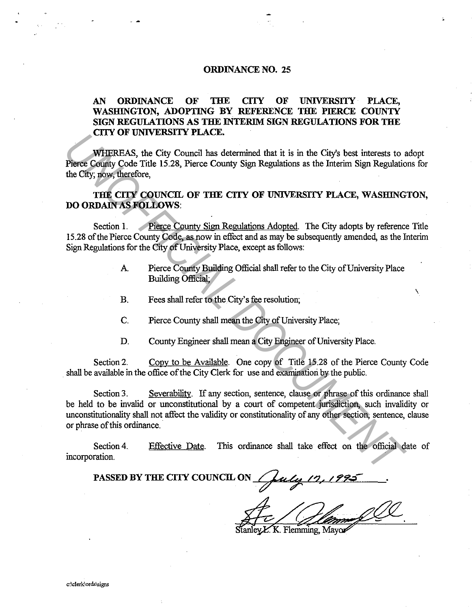## **ORDINANCE NO. 25**

## **AN ORDINANCE OF THE CITY OF UNIVERSITY PLACE, WASHINGTON, ADOPTING BY REFERENCE THE PIERCE COUNTY**  SIGN REGULATIONS AS THE INTERIM SIGN REGULATIONS FOR THE **CITY OF UNIVERSITY PLACE.**

WHEREAS, the City Council has determined that it is in the City's best interests to adopt Pierce County Code Title 15.28, Pierce County Sign Regulations as the Interim Sign Regulations for the City; now, therefore,

## **THE CITY COUNCIL OF THE CITY OF UNIVERSITY PLACE, WASHINGTON, DO ORDAIN AS FOLLOWS:**

Section **1.** Pierce County Sign Regulations Adopted. The City adopts by reference Title 15.28 of the Pierce County Code, as now in effect and as may be subsequently amended, as the Interim Sign Regulations for the City of University Place, except as follows:

- A Pierce County Building Official shall refer to the City of University Place Building Official;
- B. Fees shall refer to the.City's fee resolution;
- C. Pierce County shall mean the City of University Place;
- D. County Engineer shall mean a City Engineer of University Place.

Section 2. Copy to be Available. One copy of Title 15.28 of the Pierce County Code . shall be available in the office of the City Clerk for use and examination by the public.

Section 3. Severability. If any section, sentence, clause or phrase of this ordinance shall be held to be invalid or unconstitutional by a court of competent jurisdiction, such invalidity or unconstitutionality shall not affect the validity or constitutionality of any other section, sentence, clause or phrase of this ordinance. **CALLY OF UNIVERSITY PLACE.**<br> **Phere Condity Code Title 15.28, Pierce County Sign Regulations as the Interim Sign Regulation<br>
the City, now, therefore,<br>
<b>THE CITY COUNCIL OF THE CITY OF UNIVERSITY PLACE, WASHING**<br> **DOODDAI** 

Section 4. incorporation. Effective Date. This ordinance shall take effect on the official date of

PASSED BY THE CITY COUNCIL ON */ fuly 12, 19* 

Stanley E. K. Flemming, Mayo

 $\checkmark$